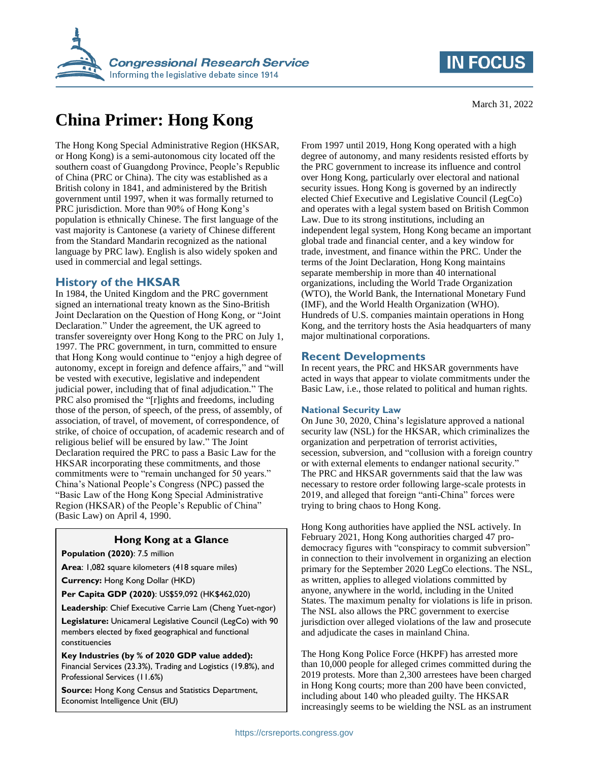

# **China Primer: Hong Kong**

The Hong Kong Special Administrative Region (HKSAR, or Hong Kong) is a semi-autonomous city located off the southern coast of Guangdong Province, People's Republic of China (PRC or China). The city was established as a British colony in 1841, and administered by the British government until 1997, when it was formally returned to PRC jurisdiction. More than 90% of Hong Kong's population is ethnically Chinese. The first language of the vast majority is Cantonese (a variety of Chinese different from the Standard Mandarin recognized as the national language by PRC law). English is also widely spoken and used in commercial and legal settings.

#### **History of the HKSAR**

In 1984, the United Kingdom and the PRC government signed an international treaty known as the Sino-British Joint Declaration on the Question of Hong Kong, or "Joint Declaration." Under the agreement, the UK agreed to transfer sovereignty over Hong Kong to the PRC on July 1, 1997. The PRC government, in turn, committed to ensure that Hong Kong would continue to "enjoy a high degree of autonomy, except in foreign and defence affairs," and "will be vested with executive, legislative and independent judicial power, including that of final adjudication." The PRC also promised the "[r]ights and freedoms, including those of the person, of speech, of the press, of assembly, of association, of travel, of movement, of correspondence, of strike, of choice of occupation, of academic research and of religious belief will be ensured by law." The Joint Declaration required the PRC to pass a Basic Law for the HKSAR incorporating these commitments, and those commitments were to "remain unchanged for 50 years." China's National People's Congress (NPC) passed the "Basic Law of the Hong Kong Special Administrative Region (HKSAR) of the People's Republic of China" (Basic Law) on April 4, 1990.

#### **Hong Kong at a Glance**

**Population (2020)**: 7.5 million

**Area**: 1,082 square kilometers (418 square miles)

**Currency:** Hong Kong Dollar (HKD)

**Per Capita GDP (2020)**: US\$59,092 (HK\$462,020)

**Leadership**: Chief Executive Carrie Lam (Cheng Yuet-ngor)

**Legislature:** Unicameral Legislative Council (LegCo) with 90 members elected by fixed geographical and functional constituencies

**Key Industries (by % of 2020 GDP value added):**  Financial Services (23.3%), Trading and Logistics (19.8%), and Professional Services (11.6%)

**Source:** Hong Kong Census and Statistics Department, Economist Intelligence Unit (EIU)

From 1997 until 2019, Hong Kong operated with a high degree of autonomy, and many residents resisted efforts by the PRC government to increase its influence and control over Hong Kong, particularly over electoral and national security issues. Hong Kong is governed by an indirectly elected Chief Executive and Legislative Council (LegCo) and operates with a legal system based on British Common Law. Due to its strong institutions, including an independent legal system, Hong Kong became an important global trade and financial center, and a key window for trade, investment, and finance within the PRC. Under the terms of the Joint Declaration, Hong Kong maintains separate membership in more than 40 international organizations, including the World Trade Organization (WTO), the World Bank, the International Monetary Fund (IMF), and the World Health Organization (WHO). Hundreds of U.S. companies maintain operations in Hong Kong, and the territory hosts the Asia headquarters of many major multinational corporations.

#### **Recent Developments**

In recent years, the PRC and HKSAR governments have acted in ways that appear to violate commitments under the Basic Law, i.e., those related to political and human rights.

#### **National Security Law**

On June 30, 2020, China's legislature approved a national security law (NSL) for the HKSAR, which criminalizes the organization and perpetration of terrorist activities, secession, subversion, and "collusion with a foreign country or with external elements to endanger national security." The PRC and HKSAR governments said that the law was necessary to restore order following large-scale protests in 2019, and alleged that foreign "anti-China" forces were trying to bring chaos to Hong Kong.

Hong Kong authorities have applied the NSL actively. In February 2021, Hong Kong authorities charged 47 prodemocracy figures with "conspiracy to commit subversion" in connection to their involvement in organizing an election primary for the September 2020 LegCo elections. The NSL, as written, applies to alleged violations committed by anyone, anywhere in the world, including in the United States. The maximum penalty for violations is life in prison. The NSL also allows the PRC government to exercise jurisdiction over alleged violations of the law and prosecute and adjudicate the cases in mainland China.

The Hong Kong Police Force (HKPF) has arrested more than 10,000 people for alleged crimes committed during the 2019 protests. More than 2,300 arrestees have been charged in Hong Kong courts; more than 200 have been convicted, including about 140 who pleaded guilty. The HKSAR increasingly seems to be wielding the NSL as an instrument

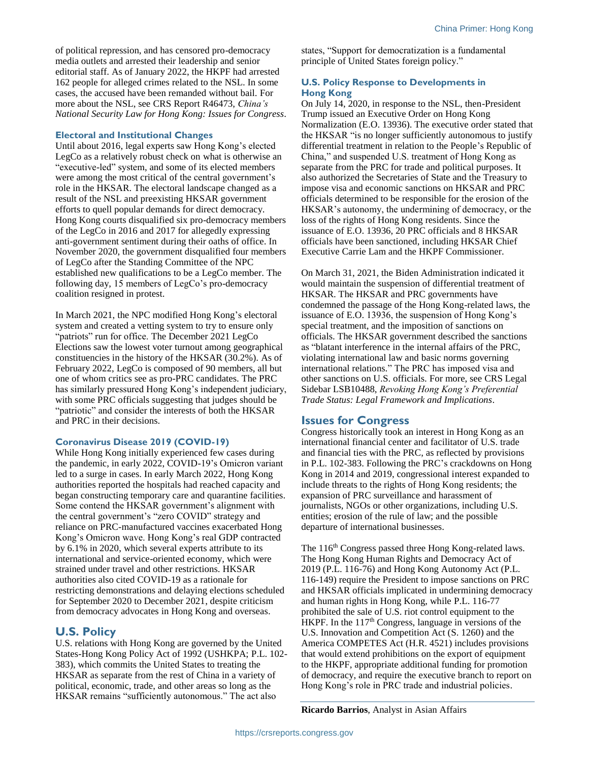of political repression, and has censored pro-democracy media outlets and arrested their leadership and senior editorial staff. As of January 2022, the HKPF had arrested 162 people for alleged crimes related to the NSL. In some cases, the accused have been remanded without bail. For more about the NSL, see CRS Report R46473, *China's National Security Law for Hong Kong: Issues for Congress*.

#### **Electoral and Institutional Changes**

Until about 2016, legal experts saw Hong Kong's elected LegCo as a relatively robust check on what is otherwise an "executive-led" system, and some of its elected members were among the most critical of the central government's role in the HKSAR. The electoral landscape changed as a result of the NSL and preexisting HKSAR government efforts to quell popular demands for direct democracy. Hong Kong courts disqualified six pro-democracy members of the LegCo in 2016 and 2017 for allegedly expressing anti-government sentiment during their oaths of office. In November 2020, the government disqualified four members of LegCo after the Standing Committee of the NPC established new qualifications to be a LegCo member. The following day, 15 members of LegCo's pro-democracy coalition resigned in protest.

In March 2021, the NPC modified Hong Kong's electoral system and created a vetting system to try to ensure only "patriots" run for office. The December 2021 LegCo Elections saw the lowest voter turnout among geographical constituencies in the history of the HKSAR (30.2%). As of February 2022, LegCo is composed of 90 members, all but one of whom critics see as pro-PRC candidates. The PRC has similarly pressured Hong Kong's independent judiciary, with some PRC officials suggesting that judges should be "patriotic" and consider the interests of both the HKSAR and PRC in their decisions.

#### **Coronavirus Disease 2019 (COVID-19)**

While Hong Kong initially experienced few cases during the pandemic, in early 2022, COVID-19's Omicron variant led to a surge in cases. In early March 2022, Hong Kong authorities reported the hospitals had reached capacity and began constructing temporary care and quarantine facilities. Some contend the HKSAR government's alignment with the central government's "zero COVID" strategy and reliance on PRC-manufactured vaccines exacerbated Hong Kong's Omicron wave. Hong Kong's real GDP contracted by 6.1% in 2020, which several experts attribute to its international and service-oriented economy, which were strained under travel and other restrictions. HKSAR authorities also cited COVID-19 as a rationale for restricting demonstrations and delaying elections scheduled for September 2020 to December 2021, despite criticism from democracy advocates in Hong Kong and overseas.

#### **U.S. Policy**

U.S. relations with Hong Kong are governed by the United States-Hong Kong Policy Act of 1992 (USHKPA; P.L. 102- 383), which commits the United States to treating the HKSAR as separate from the rest of China in a variety of political, economic, trade, and other areas so long as the HKSAR remains "sufficiently autonomous." The act also

states, "Support for democratization is a fundamental principle of United States foreign policy."

#### **U.S. Policy Response to Developments in Hong Kong**

On July 14, 2020, in response to the NSL, then-President Trump issued an Executive Order on Hong Kong Normalization (E.O. 13936). The executive order stated that the HKSAR "is no longer sufficiently autonomous to justify differential treatment in relation to the People's Republic of China," and suspended U.S. treatment of Hong Kong as separate from the PRC for trade and political purposes. It also authorized the Secretaries of State and the Treasury to impose visa and economic sanctions on HKSAR and PRC officials determined to be responsible for the erosion of the HKSAR's autonomy, the undermining of democracy, or the loss of the rights of Hong Kong residents. Since the issuance of E.O. 13936, 20 PRC officials and 8 HKSAR officials have been sanctioned, including HKSAR Chief Executive Carrie Lam and the HKPF Commissioner.

On March 31, 2021, the Biden Administration indicated it would maintain the suspension of differential treatment of HKSAR. The HKSAR and PRC governments have condemned the passage of the Hong Kong-related laws, the issuance of E.O. 13936, the suspension of Hong Kong's special treatment, and the imposition of sanctions on officials. The HKSAR government described the sanctions as "blatant interference in the internal affairs of the PRC, violating international law and basic norms governing international relations." The PRC has imposed visa and other sanctions on U.S. officials. For more, see CRS Legal Sidebar LSB10488, *Revoking Hong Kong's Preferential Trade Status: Legal Framework and Implications*.

### **Issues for Congress**

Congress historically took an interest in Hong Kong as an international financial center and facilitator of U.S. trade and financial ties with the PRC, as reflected by provisions in P.L. 102-383. Following the PRC's crackdowns on Hong Kong in 2014 and 2019, congressional interest expanded to include threats to the rights of Hong Kong residents; the expansion of PRC surveillance and harassment of journalists, NGOs or other organizations, including U.S. entities; erosion of the rule of law; and the possible departure of international businesses.

The 116<sup>th</sup> Congress passed three Hong Kong-related laws. The Hong Kong Human Rights and Democracy Act of 2019 (P.L. 116-76) and Hong Kong Autonomy Act (P.L. 116-149) require the President to impose sanctions on PRC and HKSAR officials implicated in undermining democracy and human rights in Hong Kong, while P.L. 116-77 prohibited the sale of U.S. riot control equipment to the HKPF. In the  $117<sup>th</sup>$  Congress, language in versions of the U.S. Innovation and Competition Act (S. 1260) and the America COMPETES Act (H.R. 4521) includes provisions that would extend prohibitions on the export of equipment to the HKPF, appropriate additional funding for promotion of democracy, and require the executive branch to report on Hong Kong's role in PRC trade and industrial policies.

**Ricardo Barrios**, Analyst in Asian Affairs